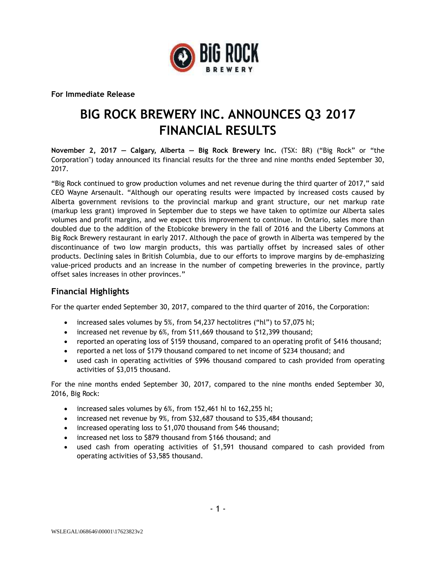

**For Immediate Release**

# **BIG ROCK BREWERY INC. ANNOUNCES Q3 2017 FINANCIAL RESULTS**

**November 2, 2017 — Calgary, Alberta — Big Rock Brewery Inc.** (TSX: BR) ("Big Rock" or "the Corporation") today announced its financial results for the three and nine months ended September 30, 2017.

"Big Rock continued to grow production volumes and net revenue during the third quarter of 2017," said CEO Wayne Arsenault. "Although our operating results were impacted by increased costs caused by Alberta government revisions to the provincial markup and grant structure, our net markup rate (markup less grant) improved in September due to steps we have taken to optimize our Alberta sales volumes and profit margins, and we expect this improvement to continue. In Ontario, sales more than doubled due to the addition of the Etobicoke brewery in the fall of 2016 and the Liberty Commons at Big Rock Brewery restaurant in early 2017. Although the pace of growth in Alberta was tempered by the discontinuance of two low margin products, this was partially offset by increased sales of other products. Declining sales in British Columbia, due to our efforts to improve margins by de-emphasizing value-priced products and an increase in the number of competing breweries in the province, partly offset sales increases in other provinces."

#### **Financial Highlights**

For the quarter ended September 30, 2017, compared to the third quarter of 2016, the Corporation:

- increased sales volumes by 5%, from 54,237 hectolitres ("hl") to 57,075 hl;
- increased net revenue by 6%, from \$11,669 thousand to \$12,399 thousand;
- reported an operating loss of \$159 thousand, compared to an operating profit of \$416 thousand;
- reported a net loss of \$179 thousand compared to net income of \$234 thousand; and
- used cash in operating activities of \$996 thousand compared to cash provided from operating activities of \$3,015 thousand.

For the nine months ended September 30, 2017, compared to the nine months ended September 30, 2016, Big Rock:

- increased sales volumes by 6%, from 152,461 hl to 162,255 hl;
- increased net revenue by 9%, from \$32,687 thousand to \$35,484 thousand;
- increased operating loss to \$1,070 thousand from \$46 thousand;
- increased net loss to \$879 thousand from \$166 thousand; and
- used cash from operating activities of \$1,591 thousand compared to cash provided from operating activities of \$3,585 thousand.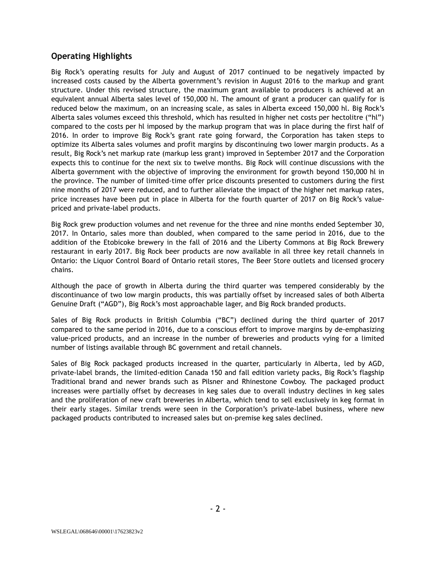### **Operating Highlights**

Big Rock's operating results for July and August of 2017 continued to be negatively impacted by increased costs caused by the Alberta government's revision in August 2016 to the markup and grant structure. Under this revised structure, the maximum grant available to producers is achieved at an equivalent annual Alberta sales level of 150,000 hl. The amount of grant a producer can qualify for is reduced below the maximum, on an increasing scale, as sales in Alberta exceed 150,000 hl. Big Rock's Alberta sales volumes exceed this threshold, which has resulted in higher net costs per hectolitre ("hl") compared to the costs per hl imposed by the markup program that was in place during the first half of 2016. In order to improve Big Rock's grant rate going forward, the Corporation has taken steps to optimize its Alberta sales volumes and profit margins by discontinuing two lower margin products. As a result, Big Rock's net markup rate (markup less grant) improved in September 2017 and the Corporation expects this to continue for the next six to twelve months. Big Rock will continue discussions with the Alberta government with the objective of improving the environment for growth beyond 150,000 hl in the province. The number of limited-time offer price discounts presented to customers during the first nine months of 2017 were reduced, and to further alleviate the impact of the higher net markup rates, price increases have been put in place in Alberta for the fourth quarter of 2017 on Big Rock's valuepriced and private-label products.

Big Rock grew production volumes and net revenue for the three and nine months ended September 30, 2017. In Ontario, sales more than doubled, when compared to the same period in 2016, due to the addition of the Etobicoke brewery in the fall of 2016 and the Liberty Commons at Big Rock Brewery restaurant in early 2017. Big Rock beer products are now available in all three key retail channels in Ontario: the Liquor Control Board of Ontario retail stores, The Beer Store outlets and licensed grocery chains.

Although the pace of growth in Alberta during the third quarter was tempered considerably by the discontinuance of two low margin products, this was partially offset by increased sales of both Alberta Genuine Draft ("AGD"), Big Rock's most approachable lager, and Big Rock branded products.

Sales of Big Rock products in British Columbia ("BC") declined during the third quarter of 2017 compared to the same period in 2016, due to a conscious effort to improve margins by de-emphasizing value-priced products, and an increase in the number of breweries and products vying for a limited number of listings available through BC government and retail channels.

Sales of Big Rock packaged products increased in the quarter, particularly in Alberta, led by AGD, private-label brands, the limited-edition Canada 150 and fall edition variety packs, Big Rock's flagship Traditional brand and newer brands such as Pilsner and Rhinestone Cowboy. The packaged product increases were partially offset by decreases in keg sales due to overall industry declines in keg sales and the proliferation of new craft breweries in Alberta, which tend to sell exclusively in keg format in their early stages. Similar trends were seen in the Corporation's private-label business, where new packaged products contributed to increased sales but on-premise keg sales declined.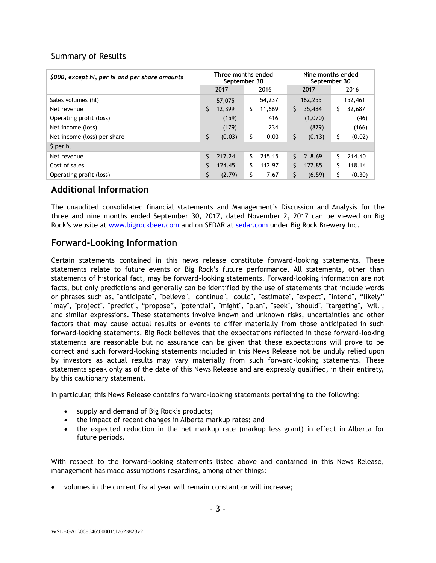#### Summary of Results

| \$000, except hl, per hl and per share amounts | Three months ended<br>September 30 |        |      | Nine months ended<br>September 30 |      |         |      |         |
|------------------------------------------------|------------------------------------|--------|------|-----------------------------------|------|---------|------|---------|
|                                                | 2017                               |        | 2016 |                                   | 2017 |         | 2016 |         |
| Sales volumes (hl)                             |                                    | 57,075 |      | 54,237                            |      | 162,255 |      | 152,461 |
| Net revenue                                    | S.                                 | 12,399 | S.   | 11,669                            | \$   | 35,484  | \$   | 32,687  |
| Operating profit (loss)                        |                                    | (159)  |      | 416                               |      | (1,070) |      | (46)    |
| Net income (loss)                              |                                    | (179)  |      | 234                               |      | (879)   |      | (166)   |
| Net income (loss) per share                    | \$                                 | (0.03) | \$   | 0.03                              | \$   | (0.13)  | \$   | (0.02)  |
| \$ per hl                                      |                                    |        |      |                                   |      |         |      |         |
| Net revenue                                    | S.                                 | 217.24 | Ś.   | 215.15                            | S.   | 218.69  | Ś    | 214.40  |
| Cost of sales                                  |                                    | 124.45 | Ś    | 112.97                            | Ŝ.   | 127.85  | Ś    | 118.14  |
| Operating profit (loss)                        | \$                                 | (2.79) | \$   | 7.67                              | \$   | (6.59)  | \$   | (0.30)  |

## **Additional Information**

The unaudited consolidated financial statements and Management's Discussion and Analysis for the three and nine months ended September 30, 2017, dated November 2, 2017 can be viewed on Big Rock's website at [www.bigrockbeer.com](http://www.bigrockbeer.com/) and on SEDAR at [sedar.com](http://www.sedar.com/) under Big Rock Brewery Inc.

# **Forward-Looking Information**

Certain statements contained in this news release constitute forward-looking statements. These statements relate to future events or Big Rock's future performance. All statements, other than statements of historical fact, may be forward-looking statements. Forward-looking information are not facts, but only predictions and generally can be identified by the use of statements that include words or phrases such as, "anticipate", "believe", "continue", "could", "estimate", "expect", "intend", "likely" "may", "project", "predict", "propose", "potential", "might", "plan", "seek", "should", "targeting", "will", and similar expressions. These statements involve known and unknown risks, uncertainties and other factors that may cause actual results or events to differ materially from those anticipated in such forward-looking statements. Big Rock believes that the expectations reflected in those forward-looking statements are reasonable but no assurance can be given that these expectations will prove to be correct and such forward-looking statements included in this News Release not be unduly relied upon by investors as actual results may vary materially from such forward-looking statements. These statements speak only as of the date of this News Release and are expressly qualified, in their entirety, by this cautionary statement.

In particular, this News Release contains forward-looking statements pertaining to the following:

- supply and demand of Big Rock's products;
- the impact of recent changes in Alberta markup rates; and
- the expected reduction in the net markup rate (markup less grant) in effect in Alberta for future periods.

With respect to the forward-looking statements listed above and contained in this News Release, management has made assumptions regarding, among other things:

• volumes in the current fiscal year will remain constant or will increase;